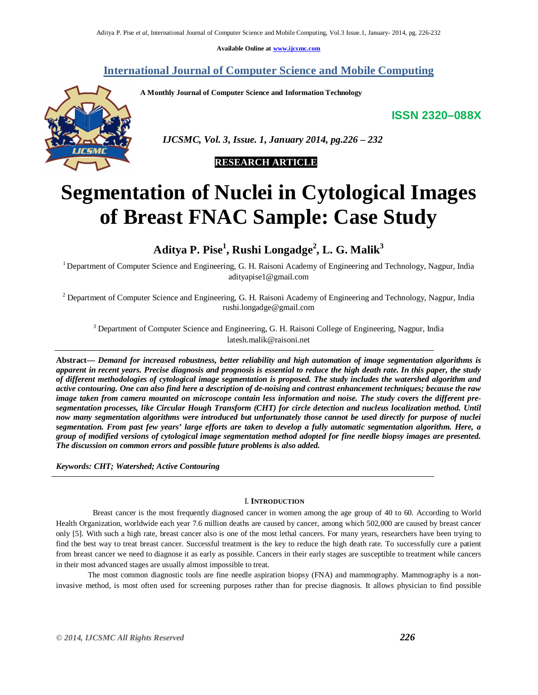**Available Online at www.ijcsmc.com**

# **International Journal of Computer Science and Mobile Computing**

**A Monthly Journal of Computer Science and Information Technology**

**ISSN 2320–088X**



 *IJCSMC, Vol. 3, Issue. 1, January 2014, pg.226 – 232*

# **RESEARCH ARTICLE**

# **Segmentation of Nuclei in Cytological Images of Breast FNAC Sample: Case Study**

# **Aditya P. Pise 1 , Rushi Longadge<sup>2</sup> , L. G. Malik<sup>3</sup>**

<sup>1</sup>Department of Computer Science and Engineering, G. H. Raisoni Academy of Engineering and Technology, Nagpur, India adityapise1@gmail.com

 $2$  Department of Computer Science and Engineering, G. H. Raisoni Academy of Engineering and Technology, Nagpur, India rushi.longadge@gmail.com

<sup>3</sup> Department of Computer Science and Engineering, G. H. Raisoni College of Engineering, Nagpur, India latesh.malik@raisoni.net

**Abstract***— Demand for increased robustness, better reliability and high automation of image segmentation algorithms is apparent in recent years. Precise diagnosis and prognosis is essential to reduce the high death rate. In this paper, the study of different methodologies of cytological image segmentation is proposed. The study includes the watershed algorithm and active contouring. One can also find here a description of de-noising and contrast enhancement techniques; because the raw image taken from camera mounted on microscope contain less information and noise. The study covers the different presegmentation processes, like Circular Hough Transform (CHT) for circle detection and nucleus localization method. Until now many segmentation algorithms were introduced but unfortunately those cannot be used directly for purpose of nuclei segmentation. From past few years' large efforts are taken to develop a fully automatic segmentation algorithm. Here, a group of modified versions of cytological image segmentation method adopted for fine needle biopsy images are presented. The discussion on common errors and possible future problems is also added.*

*Keywords: CHT; Watershed; Active Contouring*

## I. **INTRODUCTION**

 Breast cancer is the most frequently diagnosed cancer in women among the age group of 40 to 60. According to World Health Organization, worldwide each year 7.6 million deaths are caused by cancer, among which 502,000 are caused by breast cancer only [5]. With such a high rate, breast cancer also is one of the most lethal cancers. For many years, researchers have been trying to find the best way to treat breast cancer. Successful treatment is the key to reduce the high death rate. To successfully cure a patient from breast cancer we need to diagnose it as early as possible. Cancers in their early stages are susceptible to treatment while cancers in their most advanced stages are usually almost impossible to treat.

The most common diagnostic tools are fine needle aspiration biopsy (FNA) and mammography. Mammography is a noninvasive method, is most often used for screening purposes rather than for precise diagnosis. It allows physician to find possible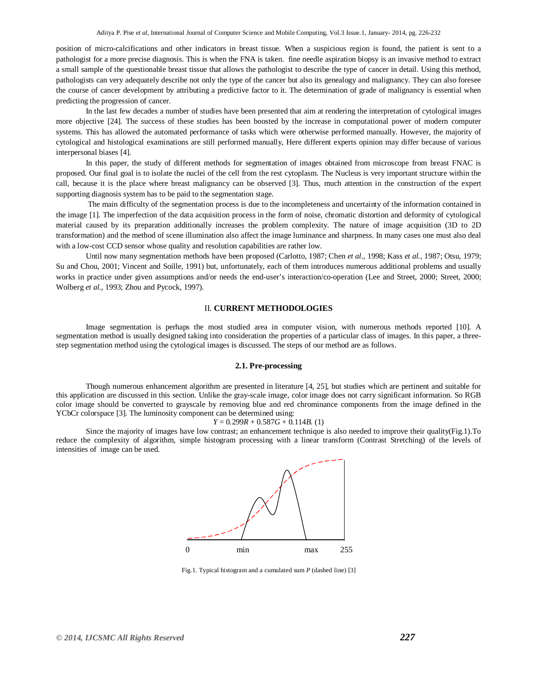position of micro-calcifications and other indicators in breast tissue. When a suspicious region is found, the patient is sent to a pathologist for a more precise diagnosis. This is when the FNA is taken. fine needle aspiration biopsy is an invasive method to extract a small sample of the questionable breast tissue that allows the pathologist to describe the type of cancer in detail. Using this method, pathologists can very adequately describe not only the type of the cancer but also its genealogy and malignancy. They can also foresee the course of cancer development by attributing a predictive factor to it. The determination of grade of malignancy is essential when predicting the progression of cancer.

In the last few decades a number of studies have been presented that aim at rendering the interpretation of cytological images more objective [24]. The success of these studies has been boosted by the increase in computational power of modern computer systems. This has allowed the automated performance of tasks which were otherwise performed manually. However, the majority of cytological and histological examinations are still performed manually, Here different experts opinion may differ because of various interpersonal biases [4].

In this paper, the study of different methods for segmentation of images obtained from microscope from breast FNAC is proposed. Our final goal is to isolate the nuclei of the cell from the rest cytoplasm. The Nucleus is very important structure within the call, because it is the place where breast malignancy can be observed [3]. Thus, much attention in the construction of the expert supporting diagnosis system has to be paid to the segmentation stage.

The main difficulty of the segmentation process is due to the incompleteness and uncertainty of the information contained in the image [1]. The imperfection of the data acquisition process in the form of noise, chromatic distortion and deformity of cytological material caused by its preparation additionally increases the problem complexity. The nature of image acquisition (3D to 2D transformation) and the method of scene illumination also affect the image luminance and sharpness. In many cases one must also deal with a low-cost CCD sensor whose quality and resolution capabilities are rather low.

Until now many segmentation methods have been proposed (Carlotto, 1987; Chen *et al.*, 1998; Kass *et al.*, 1987; Otsu, 1979; Su and Chou, 2001; Vincent and Soille, 1991) but, unfortunately, each of them introduces numerous additional problems and usually works in practice under given assumptions and/or needs the end-user's interaction/co-operation (Lee and Street, 2000; Street, 2000; Wolberg *et al.*, 1993; Zhou and Pycock, 1997).

#### II. **CURRENT METHODOLOGIES**

Image segmentation is perhaps the most studied area in computer vision, with numerous methods reported [10]. A segmentation method is usually designed taking into consideration the properties of a particular class of images. In this paper, a threestep segmentation method using the cytological images is discussed. The steps of our method are as follows.

## **2.1. Pre-processing**

Though numerous enhancement algorithm are presented in literature [4, 25], but studies which are pertinent and suitable for this application are discussed in this section. Unlike the gray-scale image, color image does not carry significant information. So RGB color image should be converted to grayscale by removing blue and red chrominance components from the image defined in the YCbCr colorspace [3]. The luminosity component can be determined using:

$$
Y = 0.299R + 0.587G + 0.114B
$$
. (1)

Since the majority of images have low contrast; an enhancement technique is also needed to improve their quality(Fig.1).To reduce the complexity of algorithm, simple histogram processing with a linear transform (Contrast Stretching) of the levels of intensities of image can be used.



Fig.1. Typical histogram and a cumulated sum *P* (dashed line) [3]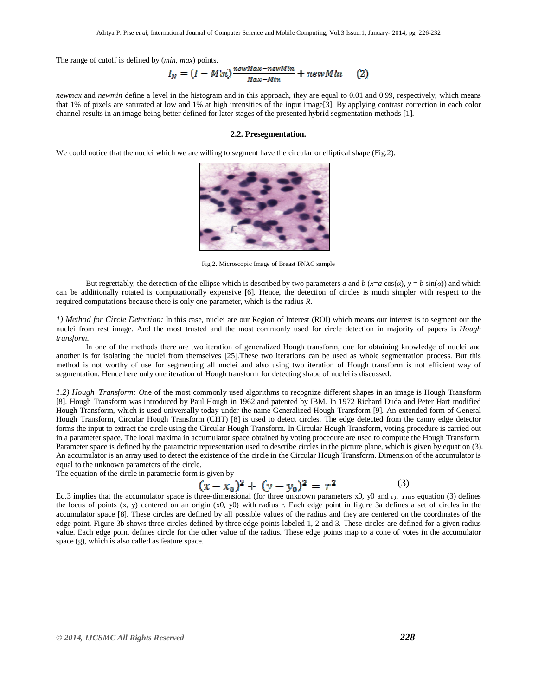The range of cutoff is defined by (*min*, *max*) points.

$$
I_N = (I - Min) \frac{newMax - newMin}{Max - Min} + newMin \qquad (2)
$$

*newmax* and *newmin* define a level in the histogram and in this approach, they are equal to 0.01 and 0.99, respectively, which means that 1% of pixels are saturated at low and 1% at high intensities of the input image[3]. By applying contrast correction in each color channel results in an image being better defined for later stages of the presented hybrid segmentation methods [1].

#### **2.2. Presegmentation.**

We could notice that the nuclei which we are willing to segment have the circular or elliptical shape (Fig.2).



Fig.2. Microscopic Image of Breast FNAC sample

But regrettably, the detection of the ellipse which is described by two parameters *a* and *b* ( $x=a\cos(a)$ ,  $y=b\sin(a)$ ) and which can be additionally rotated is computationally expensive [6]. Hence, the detection of circles is much simpler with respect to the required computations because there is only one parameter, which is the radius *R*.

*1) Method for Circle Detection:* In this case, nuclei are our Region of Interest (ROI) which means our interest is to segment out the nuclei from rest image. And the most trusted and the most commonly used for circle detection in majority of papers is *Hough transform.*

In one of the methods there are two iteration of generalized Hough transform, one for obtaining knowledge of nuclei and another is for isolating the nuclei from themselves [25].These two iterations can be used as whole segmentation process. But this method is not worthy of use for segmenting all nuclei and also using two iteration of Hough transform is not efficient way of segmentation. Hence here only one iteration of Hough transform for detecting shape of nuclei is discussed.

*1.2) Hough\_Transform: O*ne of the most commonly used algorithms to recognize different shapes in an image is Hough Transform [8]. Hough Transform was introduced by Paul Hough in 1962 and patented by IBM. In 1972 Richard Duda and Peter Hart modified Hough Transform, which is used universally today under the name Generalized Hough Transform [9]. An extended form of General Hough Transform, Circular Hough Transform (CHT) [8] is used to detect circles. The edge detected from the canny edge detector forms the input to extract the circle using the Circular Hough Transform. In Circular Hough Transform, voting procedure is carried out in a parameter space. The local maxima in accumulator space obtained by voting procedure are used to compute the Hough Transform. Parameter space is defined by the parametric representation used to describe circles in the picture plane, which is given by equation (3). An accumulator is an array used to detect the existence of the circle in the Circular Hough Transform. Dimension of the accumulator is equal to the unknown parameters of the circle.

The equation of the circle in parametric form is given by

$$
(x - x_0)^2 + (y - y_0)^2 = r^2 \tag{3}
$$

Eq.3 implies that the accumulator space is three-dimensional (for three unknown parameters x0, y0 and r). Inis equation (3) defines the locus of points (x, y) centered on an origin (x0, y0) with radius r. Each edge point in figure 3a defines a set of circles in the accumulator space [8]. These circles are defined by all possible values of the radius and they are centered on the coordinates of the edge point. Figure 3b shows three circles defined by three edge points labeled 1, 2 and 3. These circles are defined for a given radius value. Each edge point defines circle for the other value of the radius. These edge points map to a cone of votes in the accumulator space (g), which is also called as feature space.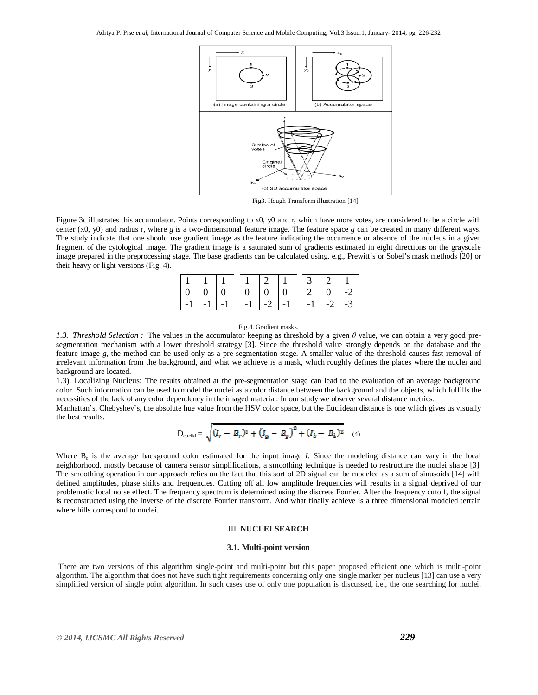

Fig3. Hough Transform illustration [14]

Figure 3c illustrates this accumulator. Points corresponding to x0, y0 and r, which have more votes, are considered to be a circle with center (x0, y0) and radius r, where *g* is a two-dimensional feature image. The feature space *g* can be created in many different ways. The study indicate that one should use gradient image as the feature indicating the occurrence or absence of the nucleus in a given fragment of the cytological image. The gradient image is a saturated sum of gradients estimated in eight directions on the grayscale image prepared in the preprocessing stage. The base gradients can be calculated using, e.g., Prewitt's or Sobel's mask methods [20] or their heavy or light versions (Fig. 4).

|                  | $\Box$ 0 |                   |                                    | 10101 |  | $2 \pm 0$ |      |
|------------------|----------|-------------------|------------------------------------|-------|--|-----------|------|
| $\vert -1 \vert$ |          | $1 - 1$ $-1$ $-1$ | $-1$ $-2$ $-1$ $-1$ $-1$ $-2$ $-1$ |       |  |           | $-3$ |

#### Fig.4. Gradient masks.

*1.3. Threshold Selection :* The values in the accumulator keeping as threshold by a given *θ* value, we can obtain a very good presegmentation mechanism with a lower threshold strategy [3]. Since the threshold value strongly depends on the database and the feature image *g*, the method can be used only as a pre-segmentation stage. A smaller value of the threshold causes fast removal of irrelevant information from the background, and what we achieve is a mask, which roughly defines the places where the nuclei and background are located.

1.3). Localizing Nucleus: The results obtained at the pre-segmentation stage can lead to the evaluation of an average background color. Such information can be used to model the nuclei as a color distance between the background and the objects, which fulfills the necessities of the lack of any color dependency in the imaged material. In our study we observe several distance metrics:

Manhattan's, Chebyshev's, the absolute hue value from the HSV color space, but the Euclidean distance is one which gives us visually the best results.

$$
D_{\text{euclid}} = \sqrt{(I_r - B_r)^2 + (I_g - B_g)^2 + (I_b - B_b)^2}
$$
 (4)

Where  $B_c$  is the average background color estimated for the input image *I*. Since the modeling distance can vary in the local neighborhood, mostly because of camera sensor simplifications, a smoothing technique is needed to restructure the nuclei shape [3]. The smoothing operation in our approach relies on the fact that this sort of 2D signal can be modeled as a sum of sinusoids [14] with defined amplitudes, phase shifts and frequencies. Cutting off all low amplitude frequencies will results in a signal deprived of our problematic local noise effect. The frequency spectrum is determined using the discrete Fourier. After the frequency cutoff, the signal is reconstructed using the inverse of the discrete Fourier transform. And what finally achieve is a three dimensional modeled terrain where hills correspond to nuclei.

## III. **NUCLEI SEARCH**

#### **3.1. Multi-point version**

There are two versions of this algorithm single-point and multi-point but this paper proposed efficient one which is multi-point algorithm. The algorithm that does not have such tight requirements concerning only one single marker per nucleus [13] can use a very simplified version of single point algorithm. In such cases use of only one population is discussed, i.e., the one searching for nuclei,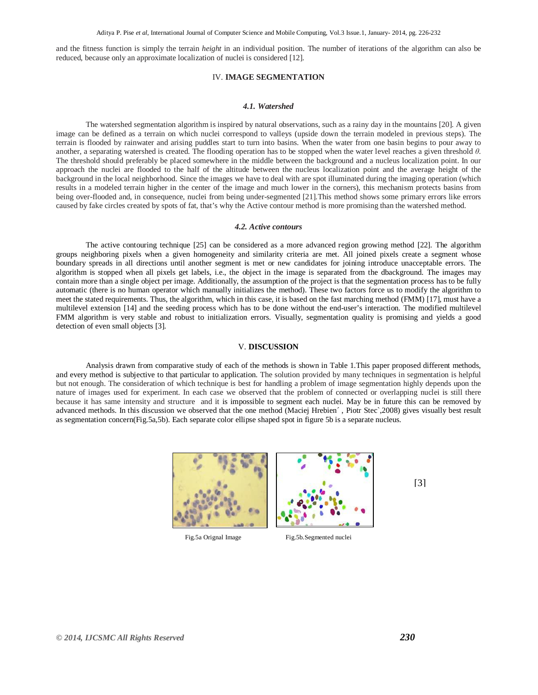and the fitness function is simply the terrain *height* in an individual position. The number of iterations of the algorithm can also be reduced, because only an approximate localization of nuclei is considered [12].

# IV. **IMAGE SEGMENTATION**

## *4.1. Watershed*

The watershed segmentation algorithm is inspired by natural observations, such as a rainy day in the mountains [20]. A given image can be defined as a terrain on which nuclei correspond to valleys (upside down the terrain modeled in previous steps). The terrain is flooded by rainwater and arising puddles start to turn into basins. When the water from one basin begins to pour away to another, a separating watershed is created. The flooding operation has to be stopped when the water level reaches a given threshold *θ*. The threshold should preferably be placed somewhere in the middle between the background and a nucleus localization point. In our approach the nuclei are flooded to the half of the altitude between the nucleus localization point and the average height of the background in the local neighborhood. Since the images we have to deal with are spot illuminated during the imaging operation (which results in a modeled terrain higher in the center of the image and much lower in the corners), this mechanism protects basins from being over-flooded and, in consequence, nuclei from being under-segmented [21].This method shows some primary errors like errors caused by fake circles created by spots of fat, that's why the Active contour method is more promising than the watershed method.

#### *4.2. Active contours*

The active contouring technique [25] can be considered as a more advanced region growing method [22]. The algorithm groups neighboring pixels when a given homogeneity and similarity criteria are met. All joined pixels create a segment whose boundary spreads in all directions until another segment is met or new candidates for joining introduce unacceptable errors. The algorithm is stopped when all pixels get labels, i.e., the object in the image is separated from the dbackground. The images may contain more than a single object per image. Additionally, the assumption of the project is that the segmentation process has to be fully automatic (there is no human operator which manually initializes the method). These two factors force us to modify the algorithm to meet the stated requirements. Thus, the algorithm, which in this case, it is based on the fast marching method (FMM) [17], must have a multilevel extension [14] and the seeding process which has to be done without the end-user's interaction. The modified multilevel FMM algorithm is very stable and robust to initialization errors. Visually, segmentation quality is promising and yields a good detection of even small objects [3].

#### V. **DISCUSSION**

Analysis drawn from comparative study of each of the methods is shown in Table 1.This paper proposed different methods, and every method is subjective to that particular to application. The solution provided by many techniques in segmentation is helpful but not enough. The consideration of which technique is best for handling a problem of image segmentation highly depends upon the nature of images used for experiment. In each case we observed that the problem of connected or overlapping nuclei is still there because it has same intensity and structure and it is impossible to segment each nuclei. May be in future this can be removed by advanced methods. In this discussion we observed that the one method (Maciej Hrebien´, Piotr Stec`,2008) gives visually best result as segmentation concern(Fig.5a,5b). Each separate color ellipse shaped spot in figure 5b is a separate nucleus.



Fig.5a Orignal Image Fig.5b.Segmented nuclei

[3]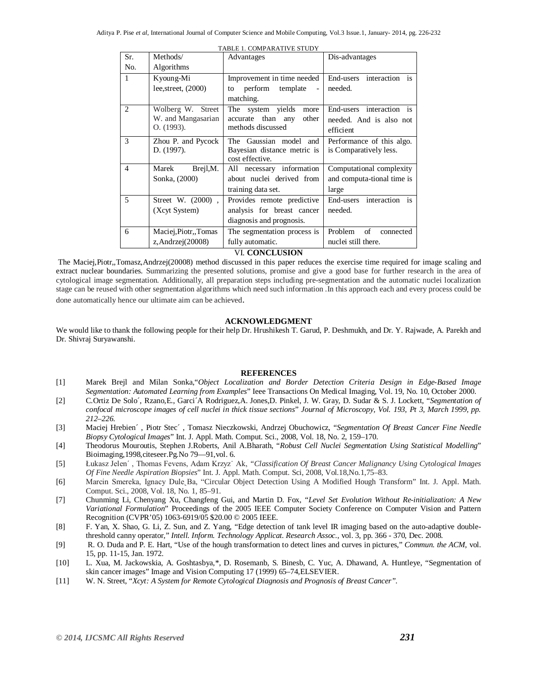| TABLE 1. COMPARATIVE STUDY    |                       |                                             |                                          |  |  |  |  |  |
|-------------------------------|-----------------------|---------------------------------------------|------------------------------------------|--|--|--|--|--|
| Sr.                           | Methods/              | Advantages                                  | Dis-advantages                           |  |  |  |  |  |
| No.                           | Algorithms            |                                             |                                          |  |  |  |  |  |
| $\mathbf{1}$                  | Kyoung-Mi             | Improvement in time needed                  | End-users<br>interaction is              |  |  |  |  |  |
|                               | lee, street, $(2000)$ | perform<br>template<br>to<br>$\blacksquare$ | needed.                                  |  |  |  |  |  |
|                               |                       | matching.                                   |                                          |  |  |  |  |  |
| $\mathfrak{D}_{\mathfrak{p}}$ | Wolberg W. Street     | system yields<br>The<br>more                | End-users interaction is                 |  |  |  |  |  |
|                               | W. and Mangasarian    | accurate than any<br>other                  | needed. And is also not                  |  |  |  |  |  |
|                               | O. (1993).            | methods discussed                           | efficient                                |  |  |  |  |  |
| 3                             | Zhou P. and Pycock    | The Gaussian model and                      | Performance of this algo.                |  |  |  |  |  |
|                               | D. (1997).            | Bayesian distance metric is                 | is Comparatively less.                   |  |  |  |  |  |
|                               |                       | cost effective.                             |                                          |  |  |  |  |  |
| $\overline{4}$                | Brejl, M.<br>Marek    | All necessary information                   | Computational complexity                 |  |  |  |  |  |
|                               | Sonka, (2000)         | about nuclei derived from                   | and computa-tional time is               |  |  |  |  |  |
|                               |                       | training data set.                          | large                                    |  |  |  |  |  |
| 5                             | Street W. (2000),     | Provides remote predictive                  | interaction<br>$\mathbf{a}$<br>End-users |  |  |  |  |  |
|                               | (Xcyt System)         | analysis for breast cancer                  | needed.                                  |  |  |  |  |  |
|                               |                       | diagnosis and prognosis.                    |                                          |  |  |  |  |  |
| 6                             | Maciej, Piotr, Tomas  | The segmentation process is                 | Problem<br>$\sigma$ f<br>connected       |  |  |  |  |  |
|                               | z, Andrzej $(20008)$  | fully automatic.                            | nuclei still there.                      |  |  |  |  |  |

#### VI. **CONCLUSION**

The Maciej,Piotr,,Tomasz,Andrzej(20008) method discussed in this paper reduces the exercise time required for image scaling and extract nuclear boundaries. Summarizing the presented solutions, promise and give a good base for further research in the area of cytological image segmentation. Additionally, all preparation steps including pre-segmentation and the automatic nuclei localization stage can be reused with other segmentation algorithms which need such information .In this approach each and every process could be done automatically hence our ultimate aim can be achieved.

## **ACKNOWLEDGMENT**

We would like to thank the following people for their help Dr. Hrushikesh T. Garud, P. Deshmukh, and Dr. Y. Rajwade, A. Parekh and Dr. Shivraj Suryawanshi.

#### **REFERENCES**

- [1] Marek Brejl and Milan Sonka,"*Object Localization and Border Detection Criteria Design in Edge-Based Image Segmentation: Automated Learning from Examples*" Ieee Transactions On Medical Imaging, Vol. 19, No. 10, October 2000.
- [2] C.Ortiz De Solo´, Rzano,E., Garci´A Rodriguez,A. Jones,D. Pinkel, J. W. Gray, D. Sudar & S. J. Lockett, "*Segmentation of confocal microscope images of cell nuclei in thick tissue sections*" *Journal of Microscopy, Vol. 193, Pt 3, March 1999, pp. 212–226.*
- [3] Maciej Hrebien´ , Piotr Stec´ , Tomasz Nieczkowski, Andrzej Obuchowicz, "*Segmentation Of Breast Cancer Fine Needle Biopsy Cytological Images*" Int. J. Appl. Math. Comput. Sci., 2008, Vol. 18, No. 2, 159–170.
- [4] Theodorus Mouroutis, Stephen J.Roberts, Anil A.Bharath, "*Robust Cell Nuclei Segmentation Using Statistical Modelling*" Bioimaging,1998,citeseer.Pg.No 79—91,vol. 6.
- [5] Łukasz Jelen´ , Thomas Fevens, Adam Krzyz˙ Ak, *"Classification Of Breast Cancer Malignancy Using Cytological Images Of Fine Needle Aspiration Biopsies*" Int. J. Appl. Math. Comput. Sci, 2008, Vol.18,No.1,75–83.
- [6] Marcin Smereka, Ignacy Dule Ba, "Circular Object Detection Using A Modified Hough Transform" Int. J. Appl. Math. Comput. Sci., 2008, Vol. 18, No. 1, 85–91.
- [7] Chunming Li, Chenyang Xu, Changfeng Gui, and Martin D. Fox, "*Level Set Evolution Without Re-initialization: A New Variational Formulation*" Proceedings of the 2005 IEEE Computer Society Conference on Computer Vision and Pattern Recognition (CVPR'05) 1063-6919/05 \$20.00 © 2005 IEEE.
- [8] F. Yan, X. Shao, G. Li, Z. Sun, and Z. Yang, "Edge detection of tank level IR imaging based on the auto-adaptive doublethreshold canny operator," *Intell. Inform. Technology Applicat. Research Assoc*., vol. 3, pp. 366 - 370, Dec. 2008.
- [9] R. O. Duda and P. E. Hart, "Use of the hough transformation to detect lines and curves in pictures," *Commun. the ACM*, vol. 15, pp. 11-15, Jan. 1972.
- [10] L. Xua, M. Jackowskia, A. Goshtasbya,\*, D. Rosemanb, S. Binesb, C. Yuc, A. Dhawand, A. Huntleye, "Segmentation of skin cancer images" Image and Vision Computing 17 (1999) 65–74,ELSEVIER.
- [11] W. N. Street, "*Xcyt: A System for Remote Cytological Diagnosis and Prognosis of Breast Cancer".*